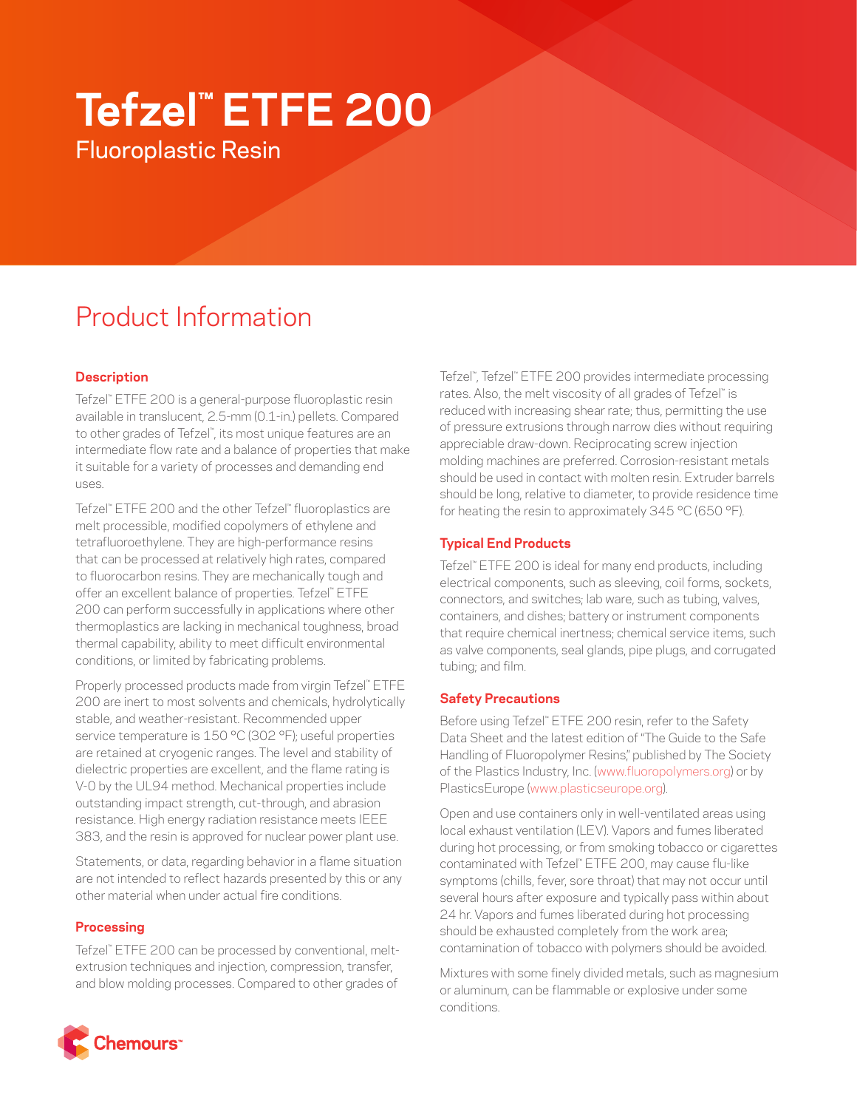# **Tefzel™ ETFE 200** Fluoroplastic Resin

# Product Information

# **Description**

Tefzel™ ETFE 200 is a general-purpose fluoroplastic resin available in translucent, 2.5-mm (0.1-in.) pellets. Compared to other grades of Tefzel™ , its most unique features are an intermediate flow rate and a balance of properties that make it suitable for a variety of processes and demanding end uses.

Tefzel™ ETFE 200 and the other Tefzel™ fluoroplastics are melt processible, modified copolymers of ethylene and tetrafluoroethylene. They are high-performance resins that can be processed at relatively high rates, compared to fluorocarbon resins. They are mechanically tough and offer an excellent balance of properties. Tefzel™ ETFE 200 can perform successfully in applications where other thermoplastics are lacking in mechanical toughness, broad thermal capability, ability to meet difficult environmental conditions, or limited by fabricating problems.

Properly processed products made from virgin Tefzel™ ETFE 200 are inert to most solvents and chemicals, hydrolytically stable, and weather-resistant. Recommended upper service temperature is 150 °C (302 °F); useful properties are retained at cryogenic ranges. The level and stability of dielectric properties are excellent, and the flame rating is V-0 by the UL94 method. Mechanical properties include outstanding impact strength, cut-through, and abrasion resistance. High energy radiation resistance meets IEEE 383, and the resin is approved for nuclear power plant use.

Statements, or data, regarding behavior in a flame situation are not intended to reflect hazards presented by this or any other material when under actual fire conditions.

### **Processing**

Tefzel™ ETFE 200 can be processed by conventional, meltextrusion techniques and injection, compression, transfer, and blow molding processes. Compared to other grades of

Tefzel™ , Tefzel™ ETFE 200 provides intermediate processing rates. Also, the melt viscosity of all grades of Tefzel™ is reduced with increasing shear rate; thus, permitting the use of pressure extrusions through narrow dies without requiring appreciable draw-down. Reciprocating screw injection molding machines are preferred. Corrosion-resistant metals should be used in contact with molten resin. Extruder barrels should be long, relative to diameter, to provide residence time for heating the resin to approximately 345 °C (650 °F).

# **Typical End Products**

Tefzel™ ETFE 200 is ideal for many end products, including electrical components, such as sleeving, coil forms, sockets, connectors, and switches; lab ware, such as tubing, valves, containers, and dishes; battery or instrument components that require chemical inertness; chemical service items, such as valve components, seal glands, pipe plugs, and corrugated tubing; and film.

### **Safety Precautions**

Before using Tefzel™ ETFE 200 resin, refer to the Safety Data Sheet and the latest edition of "The Guide to the Safe Handling of Fluoropolymer Resins," published by The Society of the Plastics Industry, Inc. ([www.fluoropolymers.org](http://www.fluoropolymers.org)) or by PlasticsEurope ([www.plasticseurope.org\)](http://www.plasticseurope.org).

Open and use containers only in well-ventilated areas using local exhaust ventilation (LEV). Vapors and fumes liberated during hot processing, or from smoking tobacco or cigarettes contaminated with Tefzel™ ETFE 200, may cause flu-like symptoms (chills, fever, sore throat) that may not occur until several hours after exposure and typically pass within about 24 hr. Vapors and fumes liberated during hot processing should be exhausted completely from the work area; contamination of tobacco with polymers should be avoided.

Mixtures with some finely divided metals, such as magnesium or aluminum, can be flammable or explosive under some conditions.